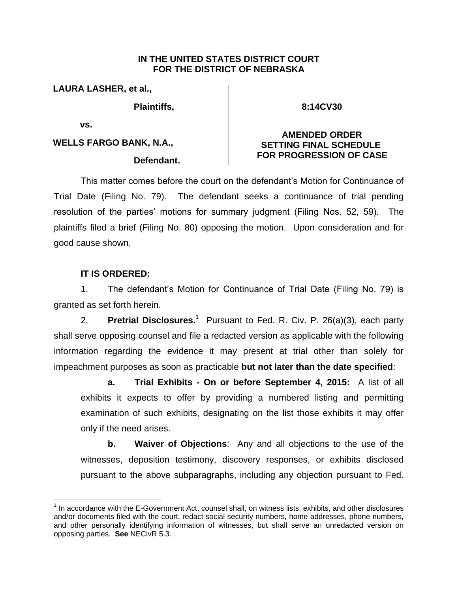#### **IN THE UNITED STATES DISTRICT COURT FOR THE DISTRICT OF NEBRASKA**

**LAURA LASHER, et al.,**

**Plaintiffs,** 

**8:14CV30**

**vs.** 

**WELLS FARGO BANK, N.A.,**

#### **Defendant.**

## **AMENDED ORDER SETTING FINAL SCHEDULE FOR PROGRESSION OF CASE**

This matter comes before the court on the defendant's Motion for Continuance of Trial Date (Filing No. 79). The defendant seeks a continuance of trial pending resolution of the parties' motions for summary judgment (Filing Nos. 52, 59). The plaintiffs filed a brief (Filing No. 80) opposing the motion. Upon consideration and for good cause shown,

# **IT IS ORDERED:**

 $\overline{a}$ 

1. The defendant's Motion for Continuance of Trial Date (Filing No. 79) is granted as set forth herein.

2. **Pretrial Disclosures.**<sup>1</sup> Pursuant to Fed. R. Civ. P. 26(a)(3), each party shall serve opposing counsel and file a redacted version as applicable with the following information regarding the evidence it may present at trial other than solely for impeachment purposes as soon as practicable **but not later than the date specified**:

**a. Trial Exhibits - On or before September 4, 2015:** A list of all exhibits it expects to offer by providing a numbered listing and permitting examination of such exhibits, designating on the list those exhibits it may offer only if the need arises.

**b. Waiver of Objections**: Any and all objections to the use of the witnesses, deposition testimony, discovery responses, or exhibits disclosed pursuant to the above subparagraphs, including any objection pursuant to Fed.

 $1$  In accordance with the E-Government Act, counsel shall, on witness lists, exhibits, and other disclosures and/or documents filed with the court, redact social security numbers, home addresses, phone numbers, and other personally identifying information of witnesses, but shall serve an unredacted version on opposing parties. **See** NECivR 5.3.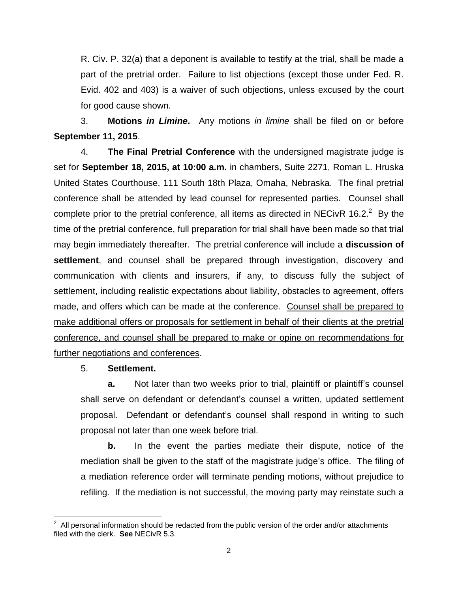R. Civ. P. 32(a) that a deponent is available to testify at the trial, shall be made a part of the pretrial order. Failure to list objections (except those under Fed. R. Evid. 402 and 403) is a waiver of such objections, unless excused by the court for good cause shown.

3. **Motions** *in Limine***.** Any motions *in limine* shall be filed on or before **September 11, 2015**.

4. **The Final Pretrial Conference** with the undersigned magistrate judge is set for **September 18, 2015, at 10:00 a.m.** in chambers, Suite 2271, Roman L. Hruska United States Courthouse, 111 South 18th Plaza, Omaha, Nebraska. The final pretrial conference shall be attended by lead counsel for represented parties. Counsel shall complete prior to the pretrial conference, all items as directed in NECivR 16.2.<sup>2</sup> By the time of the pretrial conference, full preparation for trial shall have been made so that trial may begin immediately thereafter. The pretrial conference will include a **discussion of settlement**, and counsel shall be prepared through investigation, discovery and communication with clients and insurers, if any, to discuss fully the subject of settlement, including realistic expectations about liability, obstacles to agreement, offers made, and offers which can be made at the conference. Counsel shall be prepared to make additional offers or proposals for settlement in behalf of their clients at the pretrial conference, and counsel shall be prepared to make or opine on recommendations for further negotiations and conferences.

## 5. **Settlement.**

**a.** Not later than two weeks prior to trial, plaintiff or plaintiff's counsel shall serve on defendant or defendant's counsel a written, updated settlement proposal. Defendant or defendant's counsel shall respond in writing to such proposal not later than one week before trial.

**b.** In the event the parties mediate their dispute, notice of the mediation shall be given to the staff of the magistrate judge's office. The filing of a mediation reference order will terminate pending motions, without prejudice to refiling. If the mediation is not successful, the moving party may reinstate such a

 $\overline{a}$ 2 All personal information should be redacted from the public version of the order and/or attachments filed with the clerk. **See** NECivR 5.3.